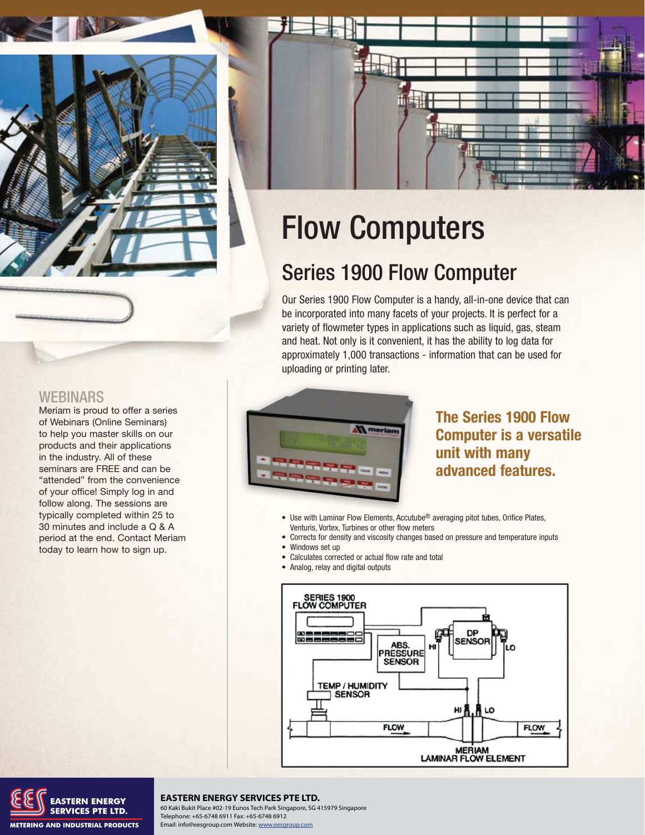

## Flow Computers

## Series 1900 Flow Computer

Our Series 1900 Flow Computer is a handy, all-in-one device that can be incorporated into many facets of your projects. It is perfect for a variety of flowmeter types in applications such as liquid, gas, steam and heat. Not only is it convenient, it has the ability to log data for approximately 1,000 transactions - information that can be used for uploading or printing later.



**The Series 1900 Flow Computer is a versatile unit with many advanced features.**

- Use with Laminar Flow Elements, Accutube<sup>®</sup> averaging pitot tubes, Orifice Plates, Venturis, Vortex, Turbines or other flow meters
- Corrects for density and viscosity changes based on pressure and temperature inputs
- Windows set up
- Calculates corrected or actual flow rate and total
- Analog, relay and digital outputs



## **WEBINARS**

Meriam is proud to offer a series of Webinars (Online Seminars) to help you master skills on our products and their applications in the industry. All of these seminars are FREE and can be "attended" from the convenience of your office! Simply log in and follow along. The sessions are typically completed within 25 to 30 minutes and include a Q & A period at the end. Contact Meriam today to learn how to sign up.



#### **MERIAM PROCESS PTE LTD.**<br>Michael Press PTE LTD. Telephone: +65-6748 6911 Fax: +65-6748 6912 **EASTERN ENERGY SERVICES PTE LTD.**

Telephone: +65-6748 6911 Fax: +65-6748 6912 Email: info@eesgroup.com Website: www.eesgroup.com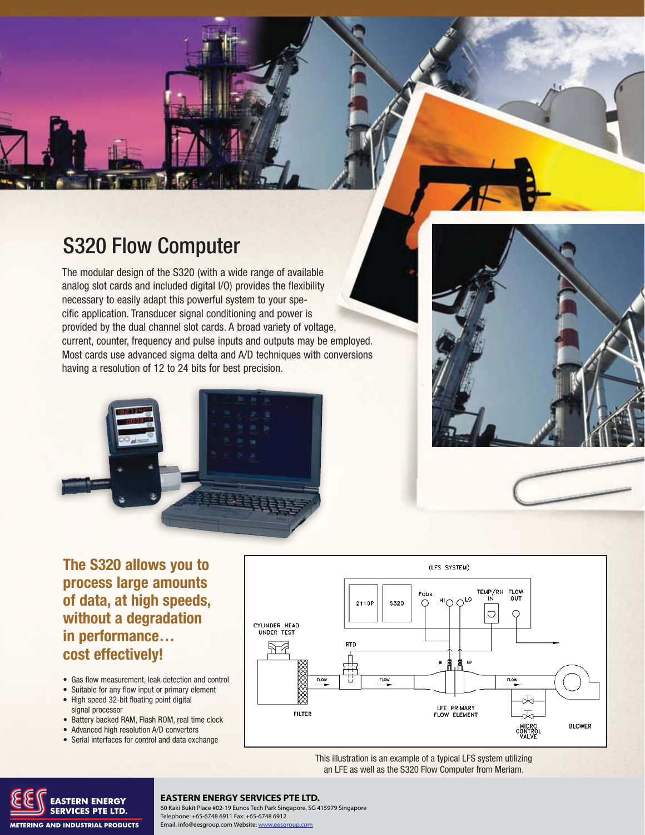

The modular design of the S320 (with a wide range of available analog slot cards and included digital I/O) provides the flexibility necessary to easily adapt this powerful system to your specific application. Transducer signal conditioning and power is provided by the dual channel slot cards. A broad variety of voltage, current, counter, frequency and pulse inputs and outputs may be employed. Most cards use advanced sigma delta and A/D techniques with conversions having a resolution of 12 to 24 bits for best precision.





**The S320 allows you to process large amounts of data, at high speeds, without a degradation in performance… cost effectively!**

- Gas flow measurement, leak detection and control
- Suitable for any flow input or primary element • High speed 32-bit floating point digital signal processor
- Battery backed RAM, Flash ROM, real time clock
- Advanced high resolution A/D converters
- Serial interfaces for control and data exchange



This illustration is an example of a typical LFS system utilizing an LFE as well as the S320 Flow Computer from Meriam.



#### **EASTERN ENERGY SERVICES PTE LTD.**

60 Kaki Bukit Place #02-19 Eunos Tech Park Singapore, SG 415979 Singapore Telephone: +65-6748 6911 Fax: +65-6748 6912 Email: info@eesgroup.com Website: www.eesgroup.com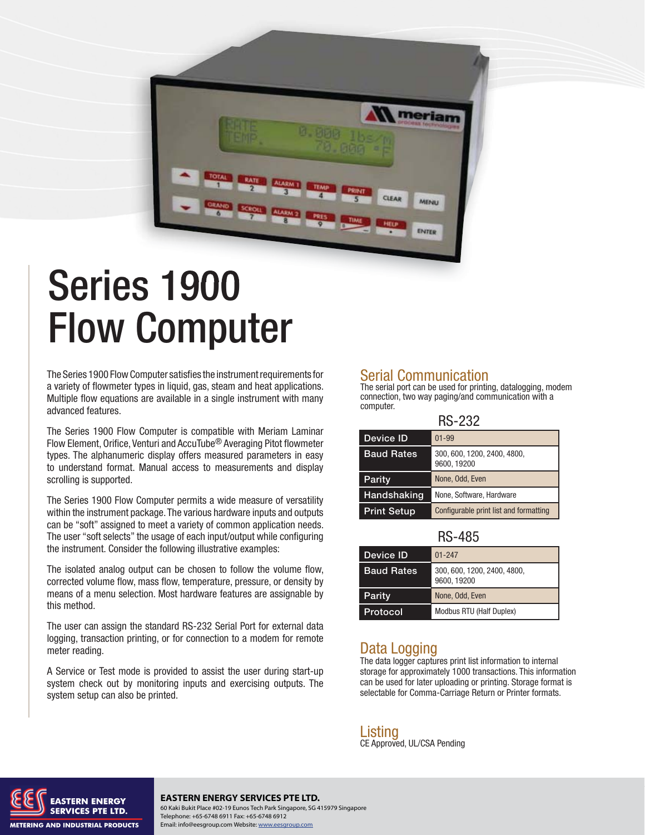

# Series 1900 Flow Computer

The Series 1900 Flow Computer satisfies the instrument requirements for a variety of flowmeter types in liquid, gas, steam and heat applications. Multiple flow equations are available in a single instrument with many advanced features.

The Series 1900 Flow Computer is compatible with Meriam Laminar Flow Element, Orifice, Venturi and AccuTube<sup>®</sup> Averaging Pitot flowmeter types. The alphanumeric display offers measured parameters in easy to understand format. Manual access to measurements and display scrolling is supported.

The Series 1900 Flow Computer permits a wide measure of versatility within the instrument package. The various hardware inputs and outputs can be "soft" assigned to meet a variety of common application needs. The user "soft selects" the usage of each input/output while configuring the instrument. Consider the following illustrative examples:

The isolated analog output can be chosen to follow the volume flow, corrected volume flow, mass flow, temperature, pressure, or density by means of a menu selection. Most hardware features are assignable by this method.

The user can assign the standard RS-232 Serial Port for external data logging, transaction printing, or for connection to a modem for remote meter reading.

A Service or Test mode is provided to assist the user during start-up system check out by monitoring inputs and exercising outputs. The system setup can also be printed.

### Serial Communication

The serial port can be used for printing, datalogging, modem connection, two way paging/and communication with a computer.

| <b>RS-232</b>      |                                            |  |
|--------------------|--------------------------------------------|--|
| Device ID          | $01 - 99$                                  |  |
| <b>Baud Rates</b>  | 300, 600, 1200, 2400, 4800,<br>9600, 19200 |  |
| <b>Parity</b>      | None, Odd, Even                            |  |
| Handshaking        | None, Software, Hardware                   |  |
| <b>Print Setup</b> | Configurable print list and formatting     |  |

### **RS-485**

| Device ID         | $01 - 247$                                 |
|-------------------|--------------------------------------------|
| <b>Baud Rates</b> | 300, 600, 1200, 2400, 4800,<br>9600, 19200 |
| <b>Parity</b>     | None, Odd, Even                            |
| Protocol          | Modbus RTU (Half Duplex)                   |

## Data Logging

The data logger captures print list information to internal storage for approximately 1000 transactions. This information can be used for later uploading or printing. Storage format is selectable for Comma-Carriage Return or Printer formats.

Listina CE Approved, UL/CSA Pending



**Meriam Process Technologies** www.meriam.com **ph:** 800.817.7849 **fax:** 216.281.0228 60 Kaki Bukit Place #02-19 Eunos Tech Park Singapore, SG 415979 Singapore **EASTERN ENERGY SERVICES PTE LTD.** Telephone: +65-6748 6911 Fax: +65-6748 6912 Email: info@eesgroup.com Website: www.eesgroup.com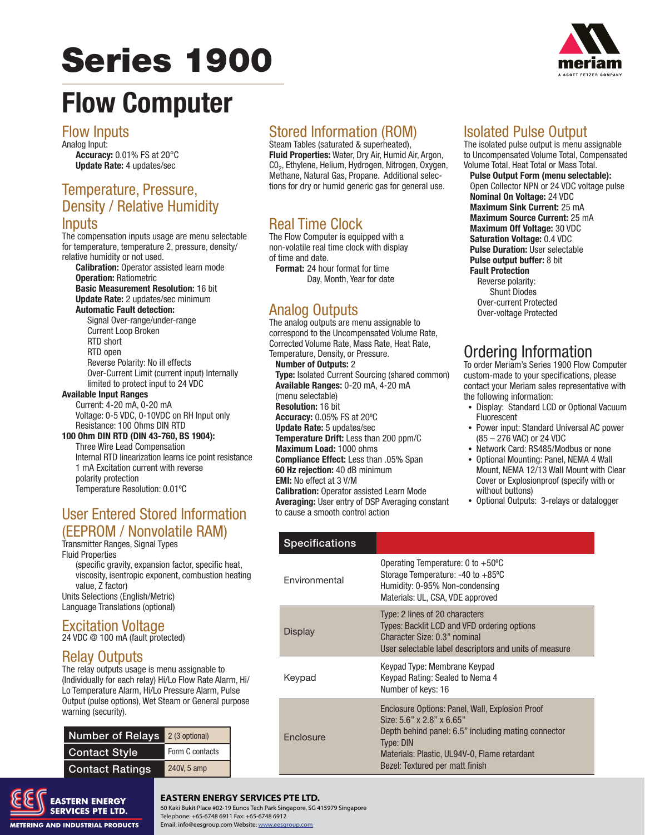# **Series 1900**



## **Flow Computer**

### **Flow Inputs**

Analog Input: Accuracy: 0.01% FS at 20°C **Update Rate: 4 updates/sec** 

### Temperature, Pressure, **Density / Relative Humidity** Inputs

The compensation inputs usage are menu selectable for temperature, temperature 2, pressure, density/ relative humidity or not used.

**Calibration:** Operator assisted learn mode **Operation: Ratiometric Basic Measurement Resolution: 16 bit** 

**Update Rate:** 2 updates/sec minimum **Automatic Fault detection:** 

Signal Over-range/under-range **Current Loop Broken** RTD short RTD open Reverse Polarity: No ill effects Over-Current Limit (current input) Internally limited to protect input to 24 VDC

#### **Available Input Ranges**

Current: 4-20 mA, 0-20 mA Voltage: 0-5 VDC, 0-10VDC on RH Input only Resistance: 100 Ohms DIN RTD

## 100 Ohm DIN RTD (DIN 43-760, BS 1904):

Three Wire Lead Compensation Internal RTD linearization learns ice point resistance 1 mA Excitation current with reverse polarity protection Temperature Resolution: 0.01°C

## **User Entered Stored Information** (EEPROM / Nonvolatile RAM)

Transmitter Ranges, Signal Types **Fluid Properties** 

(specific gravity, expansion factor, specific heat, viscosity, isentropic exponent, combustion heating value, Z factor) Units Selections (English/Metric)

Language Translations (optional)

#### **Excitation Voltage** 24 VDC @ 100 mA (fault protected)

## **Relay Outputs**

The relay outputs usage is menu assignable to (Individually for each relay) Hi/Lo Flow Rate Alarm, Hi/ Lo Temperature Alarm, Hi/Lo Pressure Alarm, Pulse Output (pulse options), Wet Steam or General purpose warning (security).

| <b>Number of Relays</b> | 2 (3 optional)  |
|-------------------------|-----------------|
| <b>Contact Style</b>    | Form C contacts |
| <b>Contact Ratings</b>  | 240V, 5 amp     |

## **Stored Information (ROM)**

Steam Tables (saturated & superheated), Fluid Properties: Water, Dry Air, Humid Air, Argon, CO<sub>2</sub>, Ethylene, Helium, Hydrogen, Nitrogen, Oxygen, Methane, Natural Gas, Propane. Additional selections for dry or humid generic gas for general use.

## **Real Time Clock**

The Flow Computer is equipped with a non-volatile real time clock with display of time and date.

**Format:** 24 hour format for time Day, Month, Year for date

## **Analog Outputs**

The analog outputs are menu assignable to correspond to the Uncompensated Volume Rate, Corrected Volume Rate, Mass Rate, Heat Rate, Temperature, Density, or Pressure. **Number of Outputs: 2** Type: Isolated Current Sourcing (shared common) Available Ranges: 0-20 mA, 4-20 mA (menu selectable) Resolution: 16 bit Accuracy: 0.05% FS at 20°C **Update Rate: 5 updates/sec Temperature Drift:** Less than 200 ppm/C Maximum Load: 1000 ohms Compliance Effect: Less than .05% Span 60 Hz rejection: 40 dB minimum **EMI:** No effect at 3 V/M **Calibration:** Operator assisted Learn Mode Averaging: User entry of DSP Averaging constant to cause a smooth control action

## **Isolated Pulse Output**

The isolated pulse output is menu assignable to Uncompensated Volume Total, Compensated Volume Total, Heat Total or Mass Total.

**Pulse Output Form (menu selectable):** Open Collector NPN or 24 VDC voltage pulse Nominal On Voltage: 24 VDC Maximum Sink Current: 25 mA Maximum Source Current: 25 mA Maximum Off Voltage: 30 VDC Saturation Voltage: 0.4 VDC **Pulse Duration: User selectable** Pulse output buffer: 8 bit **Fault Protection** Reverse polarity: **Shunt Diodes** Over-current Protected Over-voltage Protected

## Ordering Information

To order Meriam's Series 1900 Flow Computer custom-made to your specifications, please contact your Meriam sales representative with the following information:

- Display: Standard LCD or Optional Vacuum Fluorescent
- Power input: Standard Universal AC power (85 - 276 VAC) or 24 VDC
- Network Card: RS485/Modbus or none
- Optional Mounting: Panel, NEMA 4 Wall Mount, NEMA 12/13 Wall Mount with Clear Cover or Explosionproof (specify with or without buttons)
- Optional Outputs: 3-relays or datalogger

| <b>Specifications</b> |                                                                                                                                                                                                                                                     |
|-----------------------|-----------------------------------------------------------------------------------------------------------------------------------------------------------------------------------------------------------------------------------------------------|
| Environmental         | Operating Temperature: 0 to $+50^{\circ}$ C<br>Storage Temperature: $-40$ to $+85^{\circ}$ C<br>Humidity: 0-95% Non-condensing<br>Materials: UL, CSA, VDE approved                                                                                  |
| Display               | Type: 2 lines of 20 characters<br>Types: Backlit LCD and VFD ordering options<br>Character Size: 0.3" nominal<br>User selectable label descriptors and units of measure                                                                             |
| Keypad                | Keypad Type: Membrane Keypad<br>Keypad Rating: Sealed to Nema 4<br>Number of keys: 16                                                                                                                                                               |
| <b>Fnclosure</b>      | Enclosure Options: Panel, Wall, Explosion Proof<br>Size: $5.6$ " x $2.8$ " x $6.65$ "<br>Depth behind panel: 6.5" including mating connector<br><b>Type: DIN</b><br>Materials: Plastic, UL94V-0, Flame retardant<br>Bezel: Textured per matt finish |
|                       |                                                                                                                                                                                                                                                     |



**METERING AND INDUSTRIAL PRODUCTS** 

**EASTERN ENERGY SERVICES PTE LTD.** 

60 Kaki Bukit Place #02-19 Eunos Tech Park Singapore, SG 415979 Singapore Telephone: +65-6748 6911 Fax: +65-6748 6912 Email: info@eesgroup.com Website: www.eesgroup.com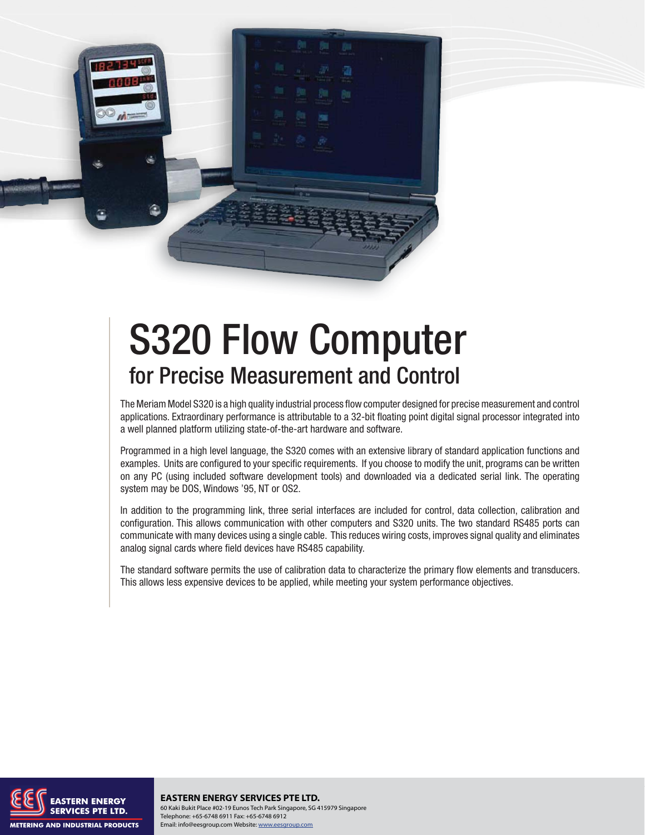

## **S320 Flow Computer** for Precise Measurement and Control

The Meriam Model S320 is a high quality industrial process flow computer designed for precise measurement and control applications. Extraordinary performance is attributable to a 32-bit floating point digital signal processor integrated into a well planned platform utilizing state-of-the-art hardware and software.

Programmed in a high level language, the S320 comes with an extensive library of standard application functions and examples. Units are configured to your specific requirements. If you choose to modify the unit, programs can be written on any PC (using included software development tools) and downloaded via a dedicated serial link. The operating system may be DOS, Windows '95, NT or OS2.

In addition to the programming link, three serial interfaces are included for control, data collection, calibration and configuration. This allows communication with other computers and S320 units. The two standard RS485 ports can communicate with many devices using a single cable. This reduces wiring costs, improves signal quality and eliminates analog signal cards where field devices have RS485 capability.

The standard software permits the use of calibration data to characterize the primary flow elements and transducers. This allows less expensive devices to be applied, while meeting your system performance objectives.



**EASTERN ENERGY SERVICES PTE LTD.** 60 Kaki Bukit Place #02-19 Eunos Tech Park Singapore, SG 415979 Singapore Telephone: +65-6748 6911 Fax: +65-6748 6912 Email: info@eesgroup.com Website: www.eesgroup.com